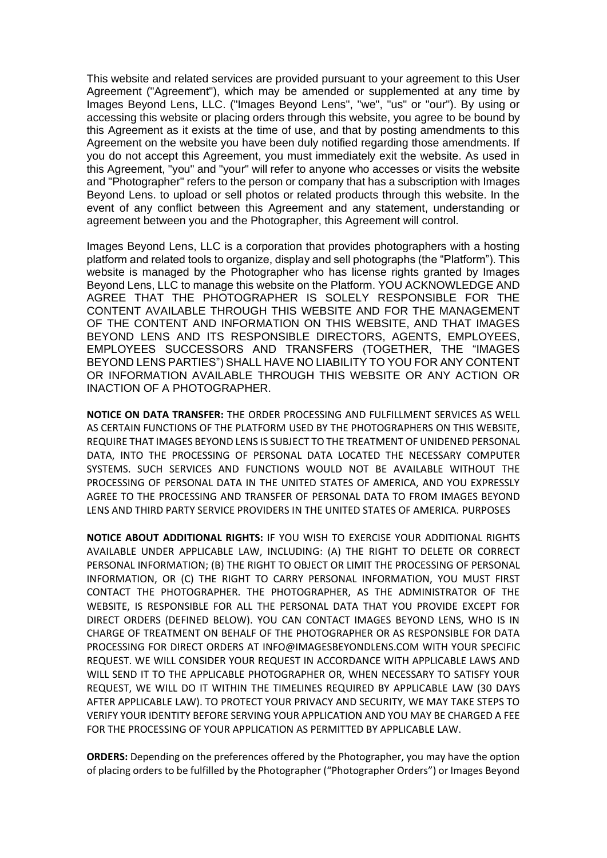This website and related services are provided pursuant to your agreement to this User Agreement ("Agreement"), which may be amended or supplemented at any time by Images Beyond Lens, LLC. ("Images Beyond Lens", "we", "us" or "our"). By using or accessing this website or placing orders through this website, you agree to be bound by this Agreement as it exists at the time of use, and that by posting amendments to this Agreement on the website you have been duly notified regarding those amendments. If you do not accept this Agreement, you must immediately exit the website. As used in this Agreement, "you" and "your" will refer to anyone who accesses or visits the website and "Photographer" refers to the person or company that has a subscription with Images Beyond Lens. to upload or sell photos or related products through this website. In the event of any conflict between this Agreement and any statement, understanding or agreement between you and the Photographer, this Agreement will control.

Images Beyond Lens, LLC is a corporation that provides photographers with a hosting platform and related tools to organize, display and sell photographs (the "Platform"). This website is managed by the Photographer who has license rights granted by Images Beyond Lens, LLC to manage this website on the Platform. YOU ACKNOWLEDGE AND AGREE THAT THE PHOTOGRAPHER IS SOLELY RESPONSIBLE FOR THE CONTENT AVAILABLE THROUGH THIS WEBSITE AND FOR THE MANAGEMENT OF THE CONTENT AND INFORMATION ON THIS WEBSITE, AND THAT IMAGES BEYOND LENS AND ITS RESPONSIBLE DIRECTORS, AGENTS, EMPLOYEES, EMPLOYEES SUCCESSORS AND TRANSFERS (TOGETHER, THE "IMAGES BEYOND LENS PARTIES") SHALL HAVE NO LIABILITY TO YOU FOR ANY CONTENT OR INFORMATION AVAILABLE THROUGH THIS WEBSITE OR ANY ACTION OR INACTION OF A PHOTOGRAPHER.

**NOTICE ON DATA TRANSFER:** THE ORDER PROCESSING AND FULFILLMENT SERVICES AS WELL AS CERTAIN FUNCTIONS OF THE PLATFORM USED BY THE PHOTOGRAPHERS ON THIS WEBSITE, REQUIRE THAT IMAGES BEYOND LENS IS SUBJECT TO THE TREATMENT OF UNIDENED PERSONAL DATA, INTO THE PROCESSING OF PERSONAL DATA LOCATED THE NECESSARY COMPUTER SYSTEMS. SUCH SERVICES AND FUNCTIONS WOULD NOT BE AVAILABLE WITHOUT THE PROCESSING OF PERSONAL DATA IN THE UNITED STATES OF AMERICA, AND YOU EXPRESSLY AGREE TO THE PROCESSING AND TRANSFER OF PERSONAL DATA TO FROM IMAGES BEYOND LENS AND THIRD PARTY SERVICE PROVIDERS IN THE UNITED STATES OF AMERICA. PURPOSES

**NOTICE ABOUT ADDITIONAL RIGHTS:** IF YOU WISH TO EXERCISE YOUR ADDITIONAL RIGHTS AVAILABLE UNDER APPLICABLE LAW, INCLUDING: (A) THE RIGHT TO DELETE OR CORRECT PERSONAL INFORMATION; (B) THE RIGHT TO OBJECT OR LIMIT THE PROCESSING OF PERSONAL INFORMATION, OR (C) THE RIGHT TO CARRY PERSONAL INFORMATION, YOU MUST FIRST CONTACT THE PHOTOGRAPHER. THE PHOTOGRAPHER, AS THE ADMINISTRATOR OF THE WEBSITE, IS RESPONSIBLE FOR ALL THE PERSONAL DATA THAT YOU PROVIDE EXCEPT FOR DIRECT ORDERS (DEFINED BELOW). YOU CAN CONTACT IMAGES BEYOND LENS, WHO IS IN CHARGE OF TREATMENT ON BEHALF OF THE PHOTOGRAPHER OR AS RESPONSIBLE FOR DATA PROCESSING FOR DIRECT ORDERS AT INFO@IMAGESBEYONDLENS.COM WITH YOUR SPECIFIC REQUEST. WE WILL CONSIDER YOUR REQUEST IN ACCORDANCE WITH APPLICABLE LAWS AND WILL SEND IT TO THE APPLICABLE PHOTOGRAPHER OR, WHEN NECESSARY TO SATISFY YOUR REQUEST, WE WILL DO IT WITHIN THE TIMELINES REQUIRED BY APPLICABLE LAW (30 DAYS AFTER APPLICABLE LAW). TO PROTECT YOUR PRIVACY AND SECURITY, WE MAY TAKE STEPS TO VERIFY YOUR IDENTITY BEFORE SERVING YOUR APPLICATION AND YOU MAY BE CHARGED A FEE FOR THE PROCESSING OF YOUR APPLICATION AS PERMITTED BY APPLICABLE LAW.

**ORDERS:** Depending on the preferences offered by the Photographer, you may have the option of placing orders to be fulfilled by the Photographer ("Photographer Orders") or Images Beyond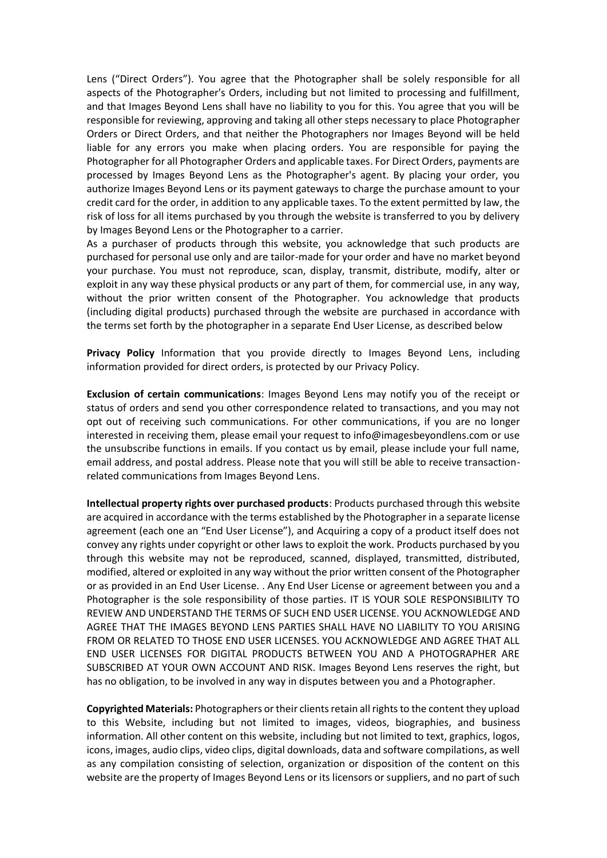Lens ("Direct Orders"). You agree that the Photographer shall be solely responsible for all aspects of the Photographer's Orders, including but not limited to processing and fulfillment, and that Images Beyond Lens shall have no liability to you for this. You agree that you will be responsible for reviewing, approving and taking all other steps necessary to place Photographer Orders or Direct Orders, and that neither the Photographers nor Images Beyond will be held liable for any errors you make when placing orders. You are responsible for paying the Photographer for all Photographer Orders and applicable taxes. For Direct Orders, payments are processed by Images Beyond Lens as the Photographer's agent. By placing your order, you authorize Images Beyond Lens or its payment gateways to charge the purchase amount to your credit card for the order, in addition to any applicable taxes. To the extent permitted by law, the risk of loss for all items purchased by you through the website is transferred to you by delivery by Images Beyond Lens or the Photographer to a carrier.

As a purchaser of products through this website, you acknowledge that such products are purchased for personal use only and are tailor-made for your order and have no market beyond your purchase. You must not reproduce, scan, display, transmit, distribute, modify, alter or exploit in any way these physical products or any part of them, for commercial use, in any way, without the prior written consent of the Photographer. You acknowledge that products (including digital products) purchased through the website are purchased in accordance with the terms set forth by the photographer in a separate End User License, as described below

**Privacy Policy** Information that you provide directly to Images Beyond Lens, including information provided for direct orders, is protected by our Privacy Policy.

**Exclusion of certain communications**: Images Beyond Lens may notify you of the receipt or status of orders and send you other correspondence related to transactions, and you may not opt out of receiving such communications. For other communications, if you are no longer interested in receiving them, please email your request to info@imagesbeyondlens.com or use the unsubscribe functions in emails. If you contact us by email, please include your full name, email address, and postal address. Please note that you will still be able to receive transactionrelated communications from Images Beyond Lens.

**Intellectual property rights over purchased products**: Products purchased through this website are acquired in accordance with the terms established by the Photographer in a separate license agreement (each one an "End User License"), and Acquiring a copy of a product itself does not convey any rights under copyright or other laws to exploit the work. Products purchased by you through this website may not be reproduced, scanned, displayed, transmitted, distributed, modified, altered or exploited in any way without the prior written consent of the Photographer or as provided in an End User License. . Any End User License or agreement between you and a Photographer is the sole responsibility of those parties. IT IS YOUR SOLE RESPONSIBILITY TO REVIEW AND UNDERSTAND THE TERMS OF SUCH END USER LICENSE. YOU ACKNOWLEDGE AND AGREE THAT THE IMAGES BEYOND LENS PARTIES SHALL HAVE NO LIABILITY TO YOU ARISING FROM OR RELATED TO THOSE END USER LICENSES. YOU ACKNOWLEDGE AND AGREE THAT ALL END USER LICENSES FOR DIGITAL PRODUCTS BETWEEN YOU AND A PHOTOGRAPHER ARE SUBSCRIBED AT YOUR OWN ACCOUNT AND RISK. Images Beyond Lens reserves the right, but has no obligation, to be involved in any way in disputes between you and a Photographer.

**Copyrighted Materials:** Photographers or their clients retain all rights to the content they upload to this Website, including but not limited to images, videos, biographies, and business information. All other content on this website, including but not limited to text, graphics, logos, icons, images, audio clips, video clips, digital downloads, data and software compilations, as well as any compilation consisting of selection, organization or disposition of the content on this website are the property of Images Beyond Lens or its licensors or suppliers, and no part of such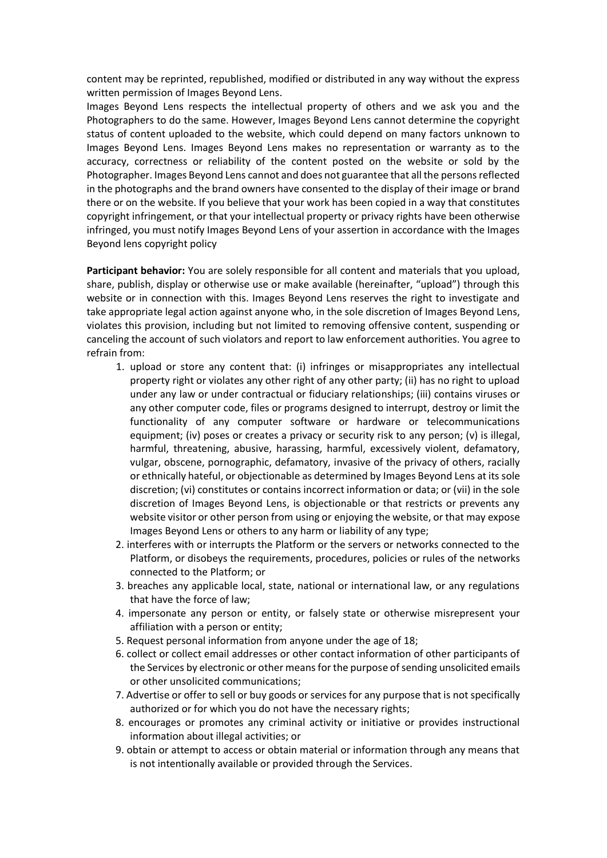content may be reprinted, republished, modified or distributed in any way without the express written permission of Images Beyond Lens.

Images Beyond Lens respects the intellectual property of others and we ask you and the Photographers to do the same. However, Images Beyond Lens cannot determine the copyright status of content uploaded to the website, which could depend on many factors unknown to Images Beyond Lens. Images Beyond Lens makes no representation or warranty as to the accuracy, correctness or reliability of the content posted on the website or sold by the Photographer. Images Beyond Lens cannot and does not guarantee that all the persons reflected in the photographs and the brand owners have consented to the display of their image or brand there or on the website. If you believe that your work has been copied in a way that constitutes copyright infringement, or that your intellectual property or privacy rights have been otherwise infringed, you must notify Images Beyond Lens of your assertion in accordance with the Images Beyond lens copyright policy

**Participant behavior:** You are solely responsible for all content and materials that you upload, share, publish, display or otherwise use or make available (hereinafter, "upload") through this website or in connection with this. Images Beyond Lens reserves the right to investigate and take appropriate legal action against anyone who, in the sole discretion of Images Beyond Lens, violates this provision, including but not limited to removing offensive content, suspending or canceling the account of such violators and report to law enforcement authorities. You agree to refrain from:

- 1. upload or store any content that: (i) infringes or misappropriates any intellectual property right or violates any other right of any other party; (ii) has no right to upload under any law or under contractual or fiduciary relationships; (iii) contains viruses or any other computer code, files or programs designed to interrupt, destroy or limit the functionality of any computer software or hardware or telecommunications equipment; (iv) poses or creates a privacy or security risk to any person; (v) is illegal, harmful, threatening, abusive, harassing, harmful, excessively violent, defamatory, vulgar, obscene, pornographic, defamatory, invasive of the privacy of others, racially or ethnically hateful, or objectionable as determined by Images Beyond Lens at its sole discretion; (vi) constitutes or contains incorrect information or data; or (vii) in the sole discretion of Images Beyond Lens, is objectionable or that restricts or prevents any website visitor or other person from using or enjoying the website, or that may expose Images Beyond Lens or others to any harm or liability of any type;
- 2. interferes with or interrupts the Platform or the servers or networks connected to the Platform, or disobeys the requirements, procedures, policies or rules of the networks connected to the Platform; or
- 3. breaches any applicable local, state, national or international law, or any regulations that have the force of law;
- 4. impersonate any person or entity, or falsely state or otherwise misrepresent your affiliation with a person or entity;
- 5. Request personal information from anyone under the age of 18;
- 6. collect or collect email addresses or other contact information of other participants of the Services by electronic or other means for the purpose of sending unsolicited emails or other unsolicited communications;
- 7. Advertise or offer to sell or buy goods or services for any purpose that is not specifically authorized or for which you do not have the necessary rights;
- 8. encourages or promotes any criminal activity or initiative or provides instructional information about illegal activities; or
- 9. obtain or attempt to access or obtain material or information through any means that is not intentionally available or provided through the Services.